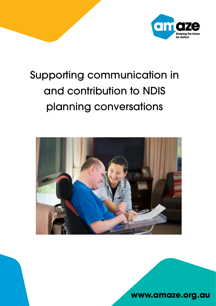

# Supporting communication in and contribution to NDIS planning conversations



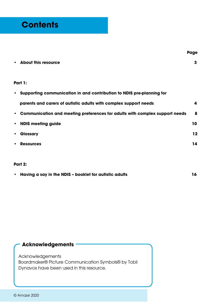**• About this resource 3**

#### **Part 1:**

| $\bullet$ | Supporting communication in and contribution to NDIS pre-planning for       |     |  |  |  |
|-----------|-----------------------------------------------------------------------------|-----|--|--|--|
|           | parents and carers of autistic adults with complex support needs            |     |  |  |  |
| $\bullet$ | Communication and meeting preferences for adults with complex support needs | 8   |  |  |  |
| $\bullet$ | <b>NDIS meeting guide</b>                                                   | 10. |  |  |  |
| $\bullet$ | <b>Glossary</b>                                                             | 12  |  |  |  |
| $\bullet$ | <b>Resources</b>                                                            | 14  |  |  |  |

#### **Part 2:**

| • Having a say in the NDIS - booklet for autistic adults |  |
|----------------------------------------------------------|--|
|                                                          |  |

#### **Acknowledgements**

Acknowledgements Boardmaker® Picture Communication Symbols® by Tobii Dynavox have been used in this resource.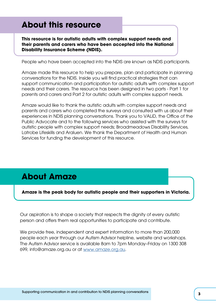## **About this resource**

**This resource is for autistic adults with complex support needs and their parents and carers who have been accepted into the National Disability Insurance Scheme (NDIS).** 

People who have been accepted into the NDIS are known as NDIS participants.

Amaze made this resource to help you prepare, plan and participate in planning conversations for the NDIS. Inside you will find practical strategies that can support communication and participation for autistic adults with complex support needs and their carers. The resource has been designed in two parts - Part 1 for parents and carers and Part 2 for autistic adults with complex support needs.

Amaze would like to thank the autistic adults with complex support needs and parents and carers who completed the surveys and consulted with us about their experiences in NDIS planning conversations. Thank you to VALiD, the Office of the Public Advocate and to the following services who assisted with the surveys for autistic people with complex support needs; Broadmeadows Disability Services, Latrobe Lifeskills and Araluen. We thank the Department of Health and Human Services for funding the development of this resource.

## **About Amaze**

**Amaze is the peak body for autistic people and their supporters in Victoria.** 

Our aspiration is to shape a society that respects the dignity of every autistic person and offers them real opportunities to participate and contribute.

We provide free, independent and expert information to more than 200,000 people each year through our Autism Advisor helpline, website and workshops. The Autism Advisor service is available 8am to 7pm Monday–Friday on 1300 308 699, info@amaze.org.au or at [www.amaze.org.au](http://www.amaze.org.au).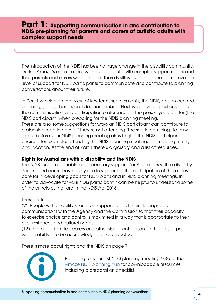#### <span id="page-3-0"></span>**Part 1: Supporting communication in and contribution to NDIS pre-planning for parents and carers of autistic adults with complex support needs**

The introduction of the NDIS has been a huge change in the disability community. During Amaze's consultations with autistic adults with complex support needs and their parents and carers we learnt that there is still work to be done to improve the level of support for NDIS participants to communicate and contribute to planning conversations about their future.

In Part 1 we give an overview of key terms such as rights, the NDIS, person centred planning, goals, choices and decision making. Next we provide questions about the communication and participation preferences of the person you care for (the NDIS participant) when preparing for the NDIS planning meeting. There are also some suggestions for ways an NDIS participant can contribute to a planning meeting even if they're not attending. The section on things to think about before your NDIS planning meeting aims to give the NDIS participant choices, for example, attending the NDIS planning meeting, the meeting timing and location. At the end of Part 1 there's a glossary and a list of resources.

#### **Rights for Australians with a disability and the NDIS**

The NDIS funds reasonable and necessary supports for Australians with a disability. Parents and carers have a key role in supporting the participation of those they care for in developing goals for NDIS plans and in NDIS planning meetings. In order to advocate for your NDIS participant it can be helpful to understand some of the principles that are in the NDIS Act 2013.

These include:

(9) People with disability should be supported in all their dealings and communications with the Agency and the Commission so that their capacity to exercise choice and control is maximised in a way that is appropriate to their circumstances and cultural needs.

(12) The role of families, carers and other significant persons in the lives of people with disability is to be acknowledged and respected.

There is more about rights and the NDIS on page 7.



Preparing for your first NDIS planning meeting? Go to the [Amaze NDIS planning hub f](https://www.amaze.org.au/ndis-planning-hub/)or downloadable resources including a preparation checklist.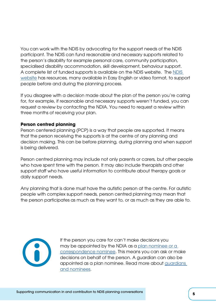You can work with the NDIS by advocating for the support needs of the NDIS participant. The NDIS can fund reasonable and necessary supports related to the person's disability for example personal care, community participation, specialised disability accommodation, skill development, behaviour support. A complete list of funded supports is available on the NDIS website. The [NDIS](https://www.ndis.gov.au/)  [website](https://www.ndis.gov.au/) has resources, many available in Easy English or video format, to support people before and during the planning process.

If you disagree with a decision made about the plan of the person you're caring for, for example, if reasonable and necessary supports weren't funded, you can request a review by contacting the NDIA. You need to request a review within three months of receiving your plan.

#### **Person centred planning**

Person centered planning (PCP) is a way that people are supported. It means that the person receiving the supports is at the centre of any planning and decision making. This can be before planning, during planning and when support is being delivered.

Person centred planning may include not only parents or carers, but other people who have spent time with the person. It may also include therapists and other support staff who have useful information to contribute about therapy goals or daily support needs.

Any planning that is done must have the autistic person at the centre. For autistic people with complex support needs, person centred planning may mean that the person participates as much as they want to, or as much as they are able to.



If the person you care for can't make decisions you may be appointed by the NDIA as a [plan nominee or a](https://www.ndis.gov.au/understanding/families-and-carers)  [correspondence nominee](https://www.ndis.gov.au/understanding/families-and-carers). This means you can ask or make decisions on behalf of the person. A guardian can also be appointed as a plan nominee. Read more about [guardians](https://www.ndis.gov.au/understanding/families-and-carers/guardians-and-nominees-explained)  [and nominees](https://www.ndis.gov.au/understanding/families-and-carers/guardians-and-nominees-explained).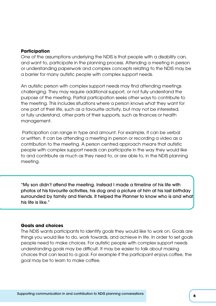#### **Participation**

One of the assumptions underlying the NDIS is that people with a disability can, and want to, participate in the planning process. Attending a meeting in person or understanding paperwork and complex concepts relating to the NDIS may be a barrier for many autistic people with complex support needs.

An autistic person with complex support needs may find attending meetings challenging. They may require additional support, or not fully understand the purpose of the meeting. Partial participation seeks other ways to contribute to the meeting. This includes situations where a person knows what they want for one part of their life, such as a favourite activity, but may not be interested, or fully understand, other parts of their supports, such as finances or health management.

 Participation can range in type and amount. For example, it can be verbal or written. It can be attending a meeting in person or recording a video as a contribution to the meeting. A person centred approach means that autistic people with complex support needs can participate in the way they would like to and contribute as much as they need to, or are able to, in the NDIS planning meeting.

"My son didn't attend the meeting. Instead I made a timeline of his life with photos of his favourite activities, his dog and a picture of him at his last birthday surrounded by family and friends. It helped the Planner to know who is and what his life is like."

#### **Goals and choices**

The NDIS wants participants to identify goals they would like to work on. Goals are things you would like to do, work towards, and achieve in life. In order to set goals people need to make choices. For autistic people with complex support needs understanding goals may be difficult. It may be easier to talk about making choices that can lead to a goal. For example if the participant enjoys coffee, the goal may be to learn to make coffee.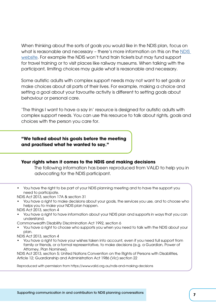When thinking about the sorts of goals you would like in the NDIS plan, focus on what is reasonable and necessary – there's more information on this on the [NDIS](https://www.ndis.gov.au/understanding/supports-funded-ndis/reasonable-and-necessary-supports)  [website.](https://www.ndis.gov.au/understanding/supports-funded-ndis/reasonable-and-necessary-supports) For example the NDIS won't fund train tickets but may fund support for travel training or to visit places like railway museums. When talking with the participant, limiting choices may guide what is reasonable and necessary.

Some autistic adults with complex support needs may not want to set goals or make choices about all parts of their lives. For example, making a choice and setting a goal about your favourite activity is different to setting goals about behaviour or personal care.

'The things I want to have a say in' resource is designed for autistic adults with complex support needs. You can use this resource to talk about rights, goals and choices with the person you care for.

#### **"We talked about his goals before the meeting and practised what he wanted to say."**

#### **Your rights when it comes to the NDIS and making decisions**

The following information has been reproduced from VALiD to help you in advocating for the NDIS participant.

• You have the right to be part of your NDIS planning meeting and to have the support you need to participate.

NDIS Act 2013, section 17A & section 31

• You have a right to make decisions about your goals, the services you use, and to choose who helps you to make your NDIS plan happen.

NDIS Act 2013, section 4

- You have a right to have information about your NDIS plan and supports in ways that you can understand.
- Commonwealth Disability Discrimination Act 1992, section 6
- You have a right to choose who supports you when you need to talk with the NDIS about your plan.

NDIS Act 2013, section 4

• You have a right to have your wishes taken into account, even if you need full support from family or friends, or a formal representative, to make decisions (e.g. a Guardian, Power of Attorney, Plan Nominee).

NDIS Act 2013, section 5; United Nations Convention on the Rights of Persons with Disabilities, Article 12; Guardianship and Administration Act 1986 (Vic) section 22

Reproduced with permission from https://www.valid.org.au/ndis-and-making-decisions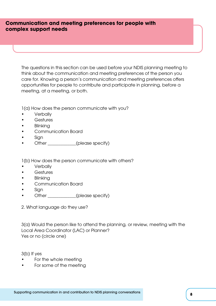#### **Communication and meeting preferences for people with complex support needs**

The questions in this section can be used before your NDIS planning meeting to think about the communication and meeting preferences of the person you care for. Knowing a person's communication and meeting preferences offers opportunities for people to contribute and participate in planning, before a meeting, at a meeting, or both.

1(a) How does the person communicate with you?

- **Verbally**
- Gestures
- **Blinking**
- Communication Board
- Sian
- Other (please specify)

1(b) How does the person communicate with others?

- Verbally
- Gestures
- Blinking
- Communication Board
- Sian
- Other (please specify)
- 2. What language do they use?

3(a) Would the person like to attend the planning, or review, meeting with the Local Area Coordinator (LAC) or Planner? Yes or no (circle one)

3(b) If yes

- For the whole meeting
- For some of the meeting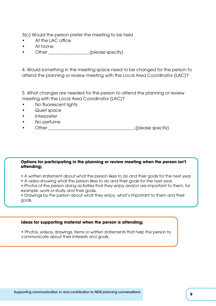3(c) Would the person prefer the meeting to be held

- At the LAC office
- At home
- Other (please specify)

4. Would something in the meeting space need to be changed for the person to attend the planning or review meeting with the Local Area Coordinator (LAC)?

5. What changes are needed for the person to attend the planning or review meeting with the Local Area Coordinator (LAC)?

- No fluorescent lights
- Quiet space
- Interpreter
- No perfume
- Other **example 2** (please specify)

#### **Options for participating in the planning or review meeting when the person isn't attending;**

- A written statement about what the person likes to do and their goals for the next year.
- A video showing what the person likes to do and their goals for the next year.
- Photos of the person doing activities that they enjoy and/or are important to them, for example, work or study and their goals.

• Drawings by the person about what they enjoy, what's important to them and their goals.

#### **Ideas for supporting material when the person is attending;**

• Photos, videos, drawings, items or written statements that help the person to communicate about their interests and goals.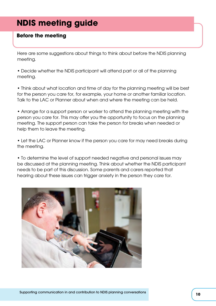## **NDIS meeting guide**

#### **Before the meeting**

Here are some suggestions about things to think about before the NDIS planning meeting.

• Decide whether the NDIS participant will attend part or all of the planning meeting.

• Think about what location and time of day for the planning meeting will be best for the person you care for, for example, your home or another familiar location. Talk to the LAC or Planner about when and where the meeting can be held.

• Arrange for a support person or worker to attend the planning meeting with the person you care for. This may offer you the opportunity to focus on the planning meeting. The support person can take the person for breaks when needed or help them to leave the meeting.

• Let the LAC or Planner know if the person you care for may need breaks during the meeting.

• To determine the level of support needed negative and personal issues may be discussed at the planning meeting. Think about whether the NDIS participant needs to be part of this discussion. Some parents and carers reported that hearing about these issues can trigger anxiety in the person they care for.

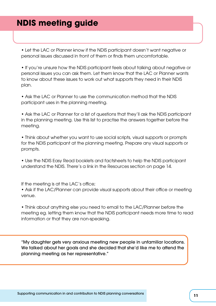## **NDIS meeting guide**

• Let the LAC or Planner know if the NDIS participant doesn't want negative or personal issues discussed in front of them or finds them uncomfortable.

• If you're unsure how the NDIS participant feels about talking about negative or personal issues you can ask them. Let them know that the LAC or Planner wants to know about these issues to work out what supports they need in their NDIS plan.

• Ask the LAC or Planner to use the communication method that the NDIS participant uses in the planning meeting.

• Ask the LAC or Planner for a list of questions that they'll ask the NDIS participant in the planning meeting. Use this list to practise the answers together before the meeting.

• Think about whether you want to use social scripts, visual supports or prompts for the NDIS participant at the planning meeting. Prepare any visual supports or prompts.

• Use the NDIS Easy Read booklets and factsheets to help the NDIS participant understand the NDIS. There's a link in the Resources section on page 14.

If the meeting is at the LAC's office;

• Ask if the LAC/Planner can provide visual supports about their office or meeting venue.

• Think about anything else you need to email to the LAC/Planner before the meeting eg. letting them know that the NDIS participant needs more time to read information or that they are non-speaking.

"My daughter gets very anxious meeting new people in unfamiliar locations. We talked about her goals and she decided that she'd like me to attend the planning meeting as her representative."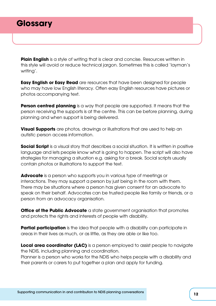**Plain English** is a style of writing that is clear and concise. Resources written in this style will avoid or reduce technical jargon. Sometimes this is called 'layman's writing'.

**Easy English or Easy Read** are resources that have been designed for people who may have low English literacy. Often easy English resources have pictures or photos accompanying text.

**Person centred planning** is a way that people are supported. It means that the person receiving the supports is at the centre. This can be before planning, during planning and when support is being delivered.

**Visual Supports** are photos, drawings or illustrations that are used to help an autistic person access information.

**Social Script** is a visual story that describes a social situation. It is written in positive language and lets people know what is going to happen. The script will also have strategies for managing a situation e.g. asking for a break. Social scripts usually contain photos or illustrations to support the text.

**Advocate** is a person who supports you in various type of meetings or interactions. They may support a person by just being in the room with them. There may be situations where a person has given consent for an advocate to speak on their behalf. Advocates can be trusted people like family or friends, or a person from an advocacy organisation.

**Office of the Public Advocate** a state government organisation that promotes and protects the rights and interests of people with disability.

**Partial participation** is the idea that people with a disability can participate in areas in their lives as much, or as little, as they are able or like too.

**Local area coordinator (LAC)** is a person employed to assist people to navigate the NDIS, including planning and coordination. Planner is a person who works for the NDIS who helps people with a disability and their parents or carers to put together a plan and apply for funding.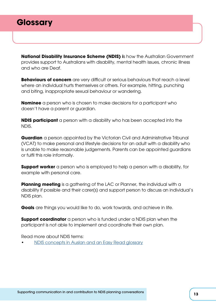## **Glossary**

**National Disability Insurance Scheme (NDIS) i**s how the Australian Government provides support to Australians with disability, mental health issues, chronic illness and who are Deaf.

**Behaviours of concern** are very difficult or serious behaviours that reach a level where an individual hurts themselves or others. For example, hitting, punching and biting, inappropriate sexual behaviour or wandering.

**Nominee** a person who is chosen to make decisions for a participant who doesn't have a parent or guardian.

**NDIS participant** a person with a disability who has been accepted into the NDIS.

**Guardian** a person appointed by the Victorian Civil and Administrative Tribunal (VCAT) to make personal and lifestyle decisions for an adult with a disability who is unable to make reasonable judgements. Parents can be appointed guardians or fulfil this role informally.

**Support worker** a person who is employed to help a person with a disability, for example with personal care.

**Planning meeting** is a gathering of the LAC or Planner, the individual with a disability if possible and their carer(s) and support person to discuss an individual's NDIS plan.

**Goals** are things you would like to do, work towards, and achieve in life.

**Support coordinator** a person who is funded under a NDIS plan when the participant is not able to implement and coordinate their own plan.

Read more about NDIS terms:

• [NDIS concepts in Auslan and an Easy Read glossary](https://www.ndis.gov.au/about-us/glossary)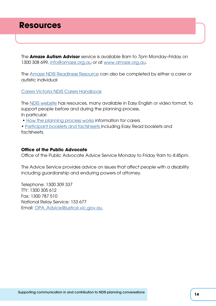## **Resources**

The **Amaze Autism Advisor** service is available 8am to 7pm Monday–Friday on 1300 308 699, [info@amaze.org.au](http://[mailto]info@amaze.org.au) or at [www.amaze.org.au](http://www.amaze.org.au).

The [Amaze NDIS Readiness Resource](https://www.amaze.org.au/support/ndis/ndis-readiness-resource/) can also be completed by either a carer or autistic individual

[Carers Victoria NDIS Carers Handbook](https://www.carersvictoria.org.au/be-informed/disability/ndis/ndis-carers-handbook)

The [NDIS website](https://www.ndis.gov.au/) has resources, many available in Easy English or video format, to support people before and during the planning process. In particular:

• [How the planning process](https://www.ndis.gov.au/participants/how-planning-process-works) [works](https://www.ndis.gov.au/about-us/publications/booklets-and-factsheets) information for carers

• [Participant booklets and factsheets](https://www.ndis.gov.au/about-us/publications/booklets-and-factsheets) including Easy Read booklets and factsheets.

#### **Office of the Public Advocate**

Office of the Public Advocate Advice Service Monday to Friday 9am to 4:45pm.

The Advice Service provides advice on issues that affect people with a disability including guardianship and enduring powers of attorney.

Telephone: 1300 309 337 TTY: 1300 305 612 Fax: 1300 787 510 National Relay Service: 133 677 Email: [OPA\\_Advice@justice.vic.gov.au](mailto:OPA_Advice@justice.vic.gov.au )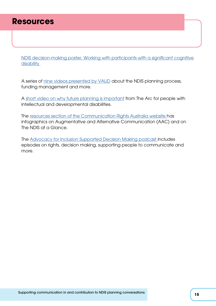## **Resources**

[NDIS decision-making poster, Working with participants with a significant cognitive](https://www.publicadvocate.vic.gov.au/resources/flowcharts/534-ndis-decision-making-poster/file) [disability](https://www.publicadvocate.vic.gov.au/resources/flowcharts/534-ndis-decision-making-poster/file) 

A series of [nine videos presented by VALiD](https://www.valid.org.au/get-ndis-savvy-videos) about the NDIS planning process, funding management and more.

A [short video on why future planning is important](http://www.selfadvocacyonline.org/learning/future-planning/) from The Arc for people with intellectual and developmental disabilities.

The [resources section of the Communication Rights Australia website h](https://www.communicationrights.org.au/resources/facts-information/)as infographics on Augmentative and Alternative Communication (AAC) and on The NDIS at a Glance.

The [Advocacy for Inclusion Supported Decision Making podcast i](http://www.buzzsprout.com/667606)ncludes episodes on rights, decision making, supporting people to communicate and more.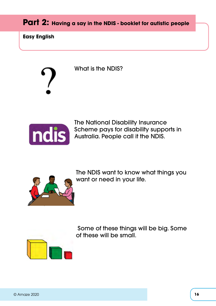### **Part 2: Having a say in the NDIS - booklet for autistic people**

**Easy English**

What is the NDIS?



The National Disability Insurance Scheme pays for disability supports in Australia. People call it the NDIS.



The NDIS want to know what things you want or need in your life.



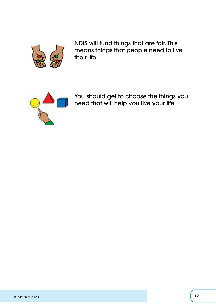

NDIS will fund things that are fair. This means things that people need to live their life.



You should get to choose the things you need that will help you live your life.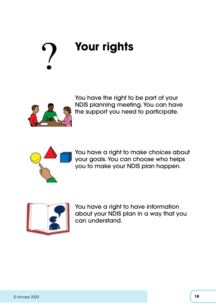# **Your rights**



You have the right to be part of your NDIS planning meeting. You can have the support you need to participate.



You have a right to make choices about your goals. You can choose who helps you to make your NDIS plan happen.



You have a right to have information about your NDIS plan in a way that you can understand.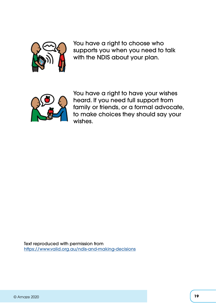

You have a right to choose who supports you when you need to talk with the NDIS about your plan.



You have a right to have your wishes heard. If you need full support from family or friends, or a formal advocate, to make choices they should say your wishes.

Text reproduced with permission from <https://www.valid.org.au/ndis-and-making-decisions>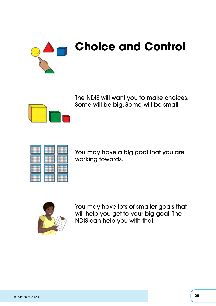

The NDIS will want you to make choices. Some will be big. Some will be small.





You may have a big goal that you are working towards.



You may have lots of smaller goals that will help you get to your big goal. The NDIS can help you with that.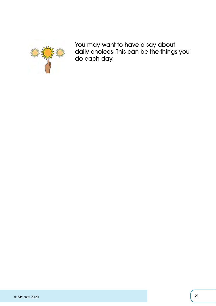

You may want to have a say about daily choices. This can be the things you do each day.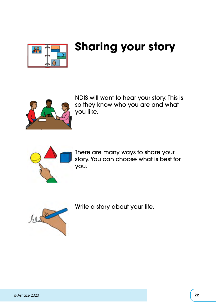

## **Sharing your story**



NDIS will want to hear your story. This is so they know who you are and what you like.



There are many ways to share your story. You can choose what is best for you.



Write a story about your life.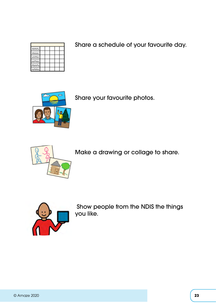Share a schedule of your favourite day.



Share your favourite photos.



Make a drawing or collage to share.



 Show people from the NDIS the things you like.